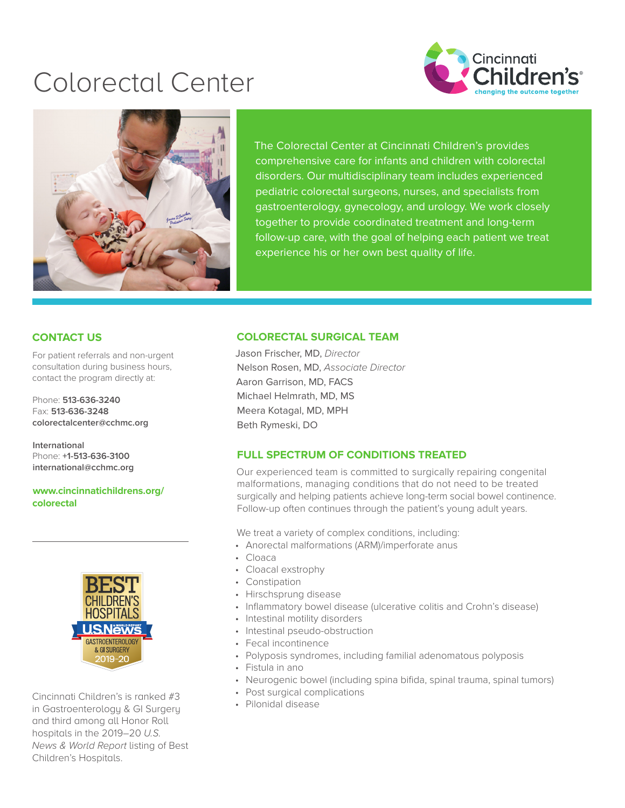# Colorectal Center





The Colorectal Center at Cincinnati Children's provides comprehensive care for infants and children with colorectal disorders. Our multidisciplinary team includes experienced pediatric colorectal surgeons, nurses, and specialists from gastroenterology, gynecology, and urology. We work closely together to provide coordinated treatment and long-term follow-up care, with the goal of helping each patient we treat experience his or her own best quality of life.

# **CONTACT US**

For patient referrals and non-urgent consultation during business hours, contact the program directly at:

Phone: **513-636-3240** Fax: **513-636-3248 [colorectalcenter@cchmc.org](mailto:colorectalcenter@cchmc.org)**

**International** Phone: **+1-513-636-3100 [international@cchmc.org](mailto:international@cchmc.org)**

**[www.cincinnatichildrens.org/](https://www.cincinnatichildrens.org/service/c/colorectal) colorectal**



Cincinnati Children's is ranked #3 in Gastroenterology & GI Surgery and third among all Honor Roll hospitals in the 2019–20 *U.S. News & World Report* listing of Best Children's Hospitals.

#### **COLORECTAL SURGICAL TEAM**

Jason Frischer, MD, *Director* Nelson Rosen, MD, *Associate Director*  Aaron Garrison, MD, FACS Michael Helmrath, MD, MS Meera Kotagal, MD, MPH Beth Rymeski, DO

### **FULL SPECTRUM OF CONDITIONS TREATED**

Our experienced team is committed to surgically repairing congenital malformations, managing conditions that do not need to be treated surgically and helping patients achieve long-term social bowel continence. Follow-up often continues through the patient's young adult years.

We treat a variety of complex conditions, including:

- Anorectal malformations (ARM)/imperforate anus
- Cloaca
- Cloacal exstrophy
- Constipation
- Hirschsprung disease
- Inflammatory bowel disease (ulcerative colitis and Crohn's disease)
- Intestinal motility disorders
- Intestinal pseudo-obstruction
- Fecal incontinence
- Polyposis syndromes, including familial adenomatous polyposis
- Fistula in ano
- Neurogenic bowel (including spina bifida, spinal trauma, spinal tumors)
- Post surgical complications
- Pilonidal disease